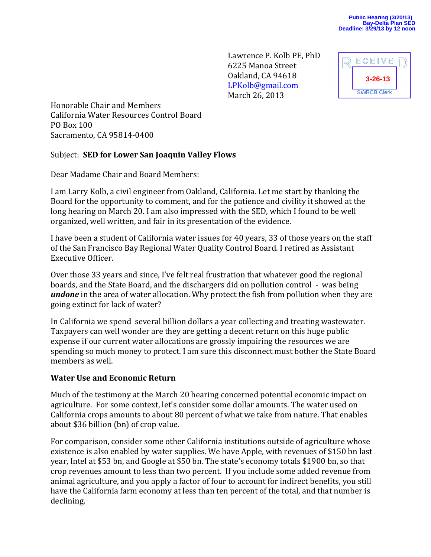Lawrence P. Kolb PE, PhD 6225 Manoa Street Oakland, CA 94618 [LPKolb@gmail.com](mailto:LPKolb@gmail.com) March 26, 2013



Honorable Chair and Members California Water Resources Control Board PO Box 100 Sacramento, CA 95814-0400

#### Subject: **SED for Lower San Joaquin Valley Flows**

Dear Madame Chair and Board Members:

I am Larry Kolb, a civil engineer from Oakland, California. Let me start by thanking the Board for the opportunity to comment, and for the patience and civility it showed at the long hearing on March 20. I am also impressed with the SED, which I found to be well organized, well written, and fair in its presentation of the evidence.

I have been a student of California water issues for 40 years, 33 of those years on the staff of the San Francisco Bay Regional Water Quality Control Board. I retired as Assistant Executive Officer.

Over those 33 years and since, I've felt real frustration that whatever good the regional boards, and the State Board, and the dischargers did on pollution control - was being *undone* in the area of water allocation. Why protect the fish from pollution when they are going extinct for lack of water?

In California we spend several billion dollars a year collecting and treating wastewater. Taxpayers can well wonder are they are getting a decent return on this huge public expense if our current water allocations are grossly impairing the resources we are spending so much money to protect. I am sure this disconnect must bother the State Board members as well.

#### **Water Use and Economic Return**

Much of the testimony at the March 20 hearing concerned potential economic impact on agriculture. For some context, let's consider some dollar amounts. The water used on California crops amounts to about 80 percent of what we take from nature. That enables about \$36 billion (bn) of crop value.

For comparison, consider some other California institutions outside of agriculture whose existence is also enabled by water supplies. We have Apple, with revenues of \$150 bn last year, Intel at \$53 bn, and Google at \$50 bn. The state's economy totals \$1900 bn, so that crop revenues amount to less than two percent. If you include some added revenue from animal agriculture, and you apply a factor of four to account for indirect benefits, you still have the California farm economy at less than ten percent of the total, and that number is declining.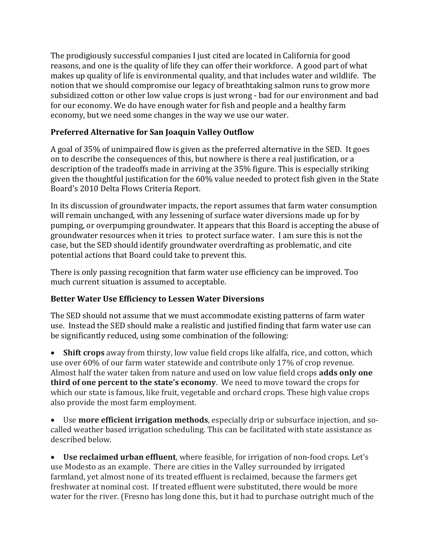The prodigiously successful companies I just cited are located in California for good reasons, and one is the quality of life they can offer their workforce. A good part of what makes up quality of life is environmental quality, and that includes water and wildlife. The notion that we should compromise our legacy of breathtaking salmon runs to grow more subsidized cotton or other low value crops is just wrong - bad for our environment and bad for our economy. We do have enough water for fish and people and a healthy farm economy, but we need some changes in the way we use our water.

# **Preferred Alternative for San Joaquin Valley Outflow**

A goal of 35% of unimpaired flow is given as the preferred alternative in the SED. It goes on to describe the consequences of this, but nowhere is there a real justification, or a description of the tradeoffs made in arriving at the 35% figure. This is especially striking given the thoughtful justification for the 60% value needed to protect fish given in the State Board's 2010 Delta Flows Criteria Report.

In its discussion of groundwater impacts, the report assumes that farm water consumption will remain unchanged, with any lessening of surface water diversions made up for by pumping, or overpumping groundwater. It appears that this Board is accepting the abuse of groundwater resources when it tries to protect surface water. I am sure this is not the case, but the SED should identify groundwater overdrafting as problematic, and cite potential actions that Board could take to prevent this.

There is only passing recognition that farm water use efficiency can be improved. Too much current situation is assumed to acceptable.

# **Better Water Use Efficiency to Lessen Water Diversions**

The SED should not assume that we must accommodate existing patterns of farm water use. Instead the SED should make a realistic and justified finding that farm water use can be significantly reduced, using some combination of the following:

 **Shift crops** away from thirsty, low value field crops like alfalfa, rice, and cotton, which use over 60% of our farm water statewide and contribute only 17% of crop revenue. Almost half the water taken from nature and used on low value field crops **adds only one third of one percent to the state's economy**. We need to move toward the crops for which our state is famous, like fruit, vegetable and orchard crops. These high value crops also provide the most farm employment.

 Use **more efficient irrigation methods**, especially drip or subsurface injection, and socalled weather based irrigation scheduling. This can be facilitated with state assistance as described below.

 **Use reclaimed urban effluent**, where feasible, for irrigation of non-food crops. Let's use Modesto as an example. There are cities in the Valley surrounded by irrigated farmland, yet almost none of its treated effluent is reclaimed, because the farmers get freshwater at nominal cost. If treated effluent were substituted, there would be more water for the river. (Fresno has long done this, but it had to purchase outright much of the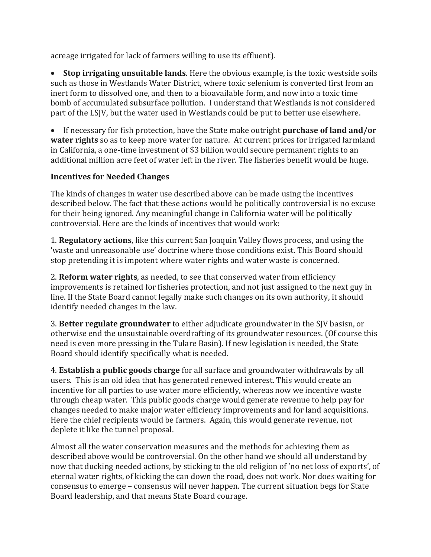acreage irrigated for lack of farmers willing to use its effluent).

 **Stop irrigating unsuitable lands**. Here the obvious example, is the toxic westside soils such as those in Westlands Water District, where toxic selenium is converted first from an inert form to dissolved one, and then to a bioavailable form, and now into a toxic time bomb of accumulated subsurface pollution. I understand that Westlands is not considered part of the LSJV, but the water used in Westlands could be put to better use elsewhere.

 If necessary for fish protection, have the State make outright **purchase of land and/or water rights** so as to keep more water for nature. At current prices for irrigated farmland in California, a one-time investment of \$3 billion would secure permanent rights to an additional million acre feet of water left in the river. The fisheries benefit would be huge.

### **Incentives for Needed Changes**

The kinds of changes in water use described above can be made using the incentives described below. The fact that these actions would be politically controversial is no excuse for their being ignored. Any meaningful change in California water will be politically controversial. Here are the kinds of incentives that would work:

1. **Regulatory actions**, like this current San Joaquin Valley flows process, and using the 'waste and unreasonable use' doctrine where those conditions exist. This Board should stop pretending it is impotent where water rights and water waste is concerned.

2. **Reform water rights**, as needed, to see that conserved water from efficiency improvements is retained for fisheries protection, and not just assigned to the next guy in line. If the State Board cannot legally make such changes on its own authority, it should identify needed changes in the law.

3. **Better regulate groundwater** to either adjudicate groundwater in the SJV basisn, or otherwise end the unsustainable overdrafting of its groundwater resources. (Of course this need is even more pressing in the Tulare Basin). If new legislation is needed, the State Board should identify specifically what is needed.

4. **Establish a public goods charge** for all surface and groundwater withdrawals by all users. This is an old idea that has generated renewed interest. This would create an incentive for all parties to use water more efficiently, whereas now we incentive waste through cheap water. This public goods charge would generate revenue to help pay for changes needed to make major water efficiency improvements and for land acquisitions. Here the chief recipients would be farmers. Again, this would generate revenue, not deplete it like the tunnel proposal.

Almost all the water conservation measures and the methods for achieving them as described above would be controversial. On the other hand we should all understand by now that ducking needed actions, by sticking to the old religion of 'no net loss of exports', of eternal water rights, of kicking the can down the road, does not work. Nor does waiting for consensus to emerge – consensus will never happen. The current situation begs for State Board leadership, and that means State Board courage.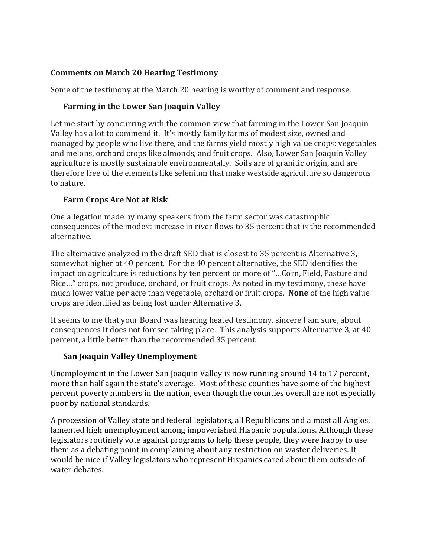## **Comments on March 20 Hearing Testimony**

Some of the testimony at the March 20 hearing is worthy of comment and response.

# **Farming in the Lower San Joaquin Valley**

Let me start by concurring with the common view that farming in the Lower San Joaquin Valley has a lot to commend it. It's mostly family farms of modest size, owned and managed by people who live there, and the farms yield mostly high value crops: vegetables and melons, orchard crops like almonds, and fruit crops. Also, Lower San Joaquin Valley agriculture is mostly sustainable environmentally. Soils are of granitic origin, and are therefore free of the elements like selenium that make westside agriculture so dangerous to nature.

# **Farm Crops Are Not at Risk**

One allegation made by many speakers from the farm sector was catastrophic consequences of the modest increase in river flows to 35 percent that is the recommended alternative.

The alternative analyzed in the draft SED that is closest to 35 percent is Alternative 3, somewhat higher at 40 percent. For the 40 percent alternative, the SED identifies the impact on agriculture is reductions by ten percent or more of "…Corn, Field, Pasture and Rice…" crops, not produce, orchard, or fruit crops. As noted in my testimony, these have much lower value per acre than vegetable, orchard or fruit crops. **None** of the high value crops are identified as being lost under Alternative 3.

It seems to me that your Board was hearing heated testimony, sincere I am sure, about consequences it does not foresee taking place. This analysis supports Alternative 3, at 40 percent, a little better than the recommended 35 percent.

# **San Joaquin Valley Unemployment**

Unemployment in the Lower San Joaquin Valley is now running around 14 to 17 percent, more than half again the state's average. Most of these counties have some of the highest percent poverty numbers in the nation, even though the counties overall are not especially poor by national standards.

A procession of Valley state and federal legislators, all Republicans and almost all Anglos, lamented high unemployment among impoverished Hispanic populations. Although these legislators routinely vote against programs to help these people, they were happy to use them as a debating point in complaining about any restriction on waster deliveries. It would be nice if Valley legislators who represent Hispanics cared about them outside of water debates.